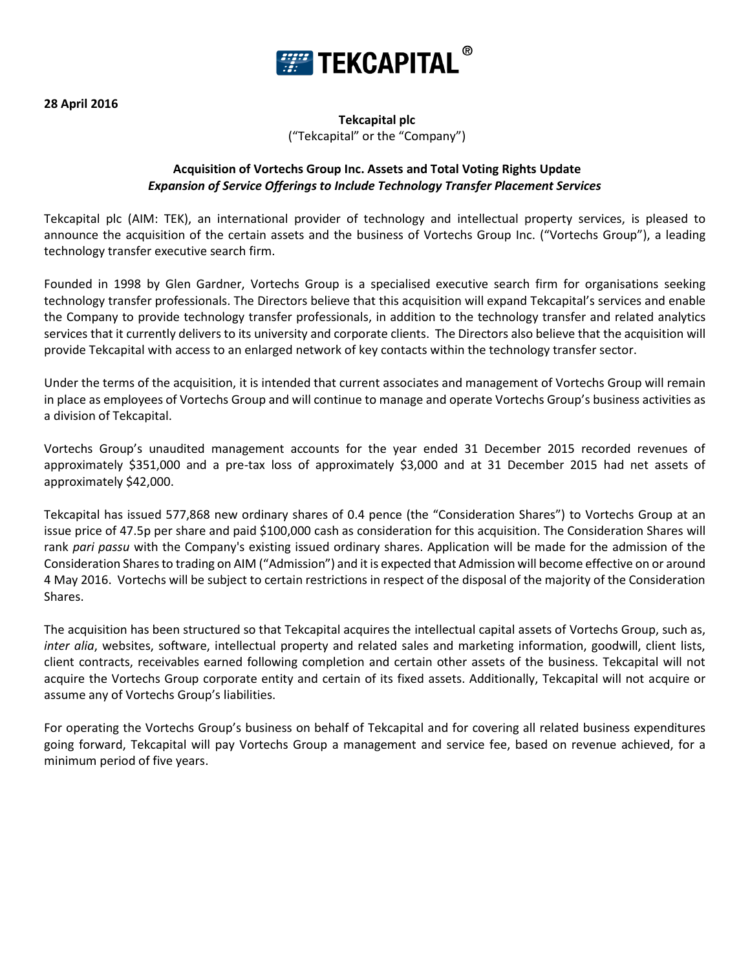

## **Tekcapital plc** ("Tekcapital" or the "Company")

## **Acquisition of Vortechs Group Inc. Assets and Total Voting Rights Update** *Expansion of Service Offerings to Include Technology Transfer Placement Services*

Tekcapital plc (AIM: TEK), an international provider of technology and intellectual property services, is pleased to announce the acquisition of the certain assets and the business of Vortechs Group Inc. ("Vortechs Group"), a leading technology transfer executive search firm.

Founded in 1998 by Glen Gardner, Vortechs Group is a specialised executive search firm for organisations seeking technology transfer professionals. The Directors believe that this acquisition will expand Tekcapital's services and enable the Company to provide technology transfer professionals, in addition to the technology transfer and related analytics services that it currently delivers to its university and corporate clients. The Directors also believe that the acquisition will provide Tekcapital with access to an enlarged network of key contacts within the technology transfer sector.

Under the terms of the acquisition, it is intended that current associates and management of Vortechs Group will remain in place as employees of Vortechs Group and will continue to manage and operate Vortechs Group's business activities as a division of Tekcapital.

Vortechs Group's unaudited management accounts for the year ended 31 December 2015 recorded revenues of approximately \$351,000 and a pre-tax loss of approximately \$3,000 and at 31 December 2015 had net assets of approximately \$42,000.

Tekcapital has issued 577,868 new ordinary shares of 0.4 pence (the "Consideration Shares") to Vortechs Group at an issue price of 47.5p per share and paid \$100,000 cash as consideration for this acquisition. The Consideration Shares will rank *pari passu* with the Company's existing issued ordinary shares. Application will be made for the admission of the Consideration Shares to trading on AIM ("Admission") and it is expected that Admission will become effective on or around 4 May 2016. Vortechs will be subject to certain restrictions in respect of the disposal of the majority of the Consideration Shares.

The acquisition has been structured so that Tekcapital acquires the intellectual capital assets of Vortechs Group, such as, *inter alia*, websites, software, intellectual property and related sales and marketing information, goodwill, client lists, client contracts, receivables earned following completion and certain other assets of the business. Tekcapital will not acquire the Vortechs Group corporate entity and certain of its fixed assets. Additionally, Tekcapital will not acquire or assume any of Vortechs Group's liabilities.

For operating the Vortechs Group's business on behalf of Tekcapital and for covering all related business expenditures going forward, Tekcapital will pay Vortechs Group a management and service fee, based on revenue achieved, for a minimum period of five years.